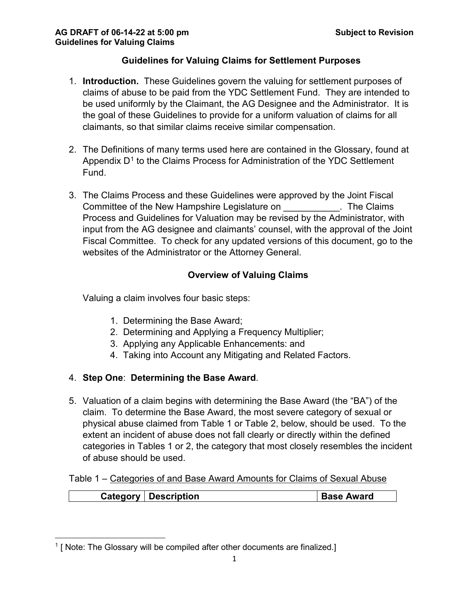### **Guidelines for Valuing Claims for Settlement Purposes**

- 1. **Introduction.** These Guidelines govern the valuing for settlement purposes of claims of abuse to be paid from the YDC Settlement Fund. They are intended to be used uniformly by the Claimant, the AG Designee and the Administrator. It is the goal of these Guidelines to provide for a uniform valuation of claims for all claimants, so that similar claims receive similar compensation.
- 2. The Definitions of many terms used here are contained in the Glossary, found at Appendix  $D<sup>1</sup>$  $D<sup>1</sup>$  $D<sup>1</sup>$  to the Claims Process for Administration of the YDC Settlement Fund.
- 3. The Claims Process and these Guidelines were approved by the Joint Fiscal Committee of the New Hampshire Legislature on The Claims Process and Guidelines for Valuation may be revised by the Administrator, with input from the AG designee and claimants' counsel, with the approval of the Joint Fiscal Committee. To check for any updated versions of this document, go to the websites of the Administrator or the Attorney General.

## **Overview of Valuing Claims**

Valuing a claim involves four basic steps:

- 1. Determining the Base Award;
- 2. Determining and Applying a Frequency Multiplier;
- 3. Applying any Applicable Enhancements: and
- 4. Taking into Account any Mitigating and Related Factors.

## 4. **Step One**: **Determining the Base Award**.

5. Valuation of a claim begins with determining the Base Award (the "BA") of the claim. To determine the Base Award, the most severe category of sexual or physical abuse claimed from Table 1 or Table 2, below, should be used. To the extent an incident of abuse does not fall clearly or directly within the defined categories in Tables 1 or 2, the category that most closely resembles the incident of abuse should be used.

Table 1 – Categories of and Base Award Amounts for Claims of Sexual Abuse

| Category | <sup>'</sup> Description | <b>Base Award</b> |
|----------|--------------------------|-------------------|
|          |                          |                   |

<span id="page-0-0"></span>l  $1$  [ Note: The Glossary will be compiled after other documents are finalized.]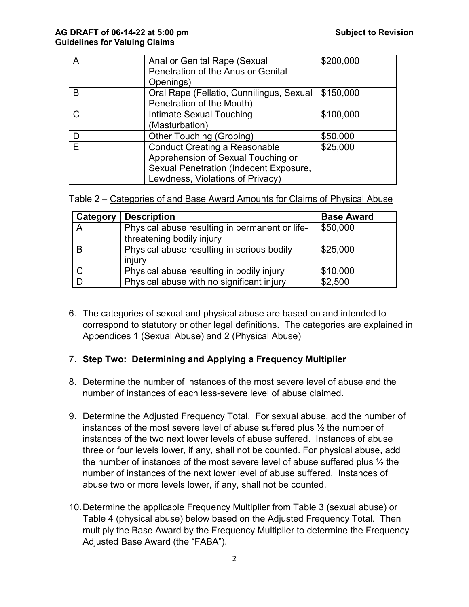|   | Anal or Genital Rape (Sexual             | \$200,000 |
|---|------------------------------------------|-----------|
|   | Penetration of the Anus or Genital       |           |
|   | Openings)                                |           |
| B | Oral Rape (Fellatio, Cunnilingus, Sexual | \$150,000 |
|   | Penetration of the Mouth)                |           |
| C | Intimate Sexual Touching                 | \$100,000 |
|   | (Masturbation)                           |           |
| D | <b>Other Touching (Groping)</b>          | \$50,000  |
| E | <b>Conduct Creating a Reasonable</b>     | \$25,000  |
|   | Apprehension of Sexual Touching or       |           |
|   | Sexual Penetration (Indecent Exposure,   |           |
|   | Lewdness, Violations of Privacy)         |           |

Table 2 – Categories of and Base Award Amounts for Claims of Physical Abuse

| Category | <b>Description</b>                                                          | <b>Base Award</b> |
|----------|-----------------------------------------------------------------------------|-------------------|
|          | Physical abuse resulting in permanent or life-<br>threatening bodily injury | \$50,000          |
|          | Physical abuse resulting in serious bodily<br>injury                        | \$25,000          |
|          | Physical abuse resulting in bodily injury                                   | \$10,000          |
|          | Physical abuse with no significant injury                                   | \$2,500           |

6. The categories of sexual and physical abuse are based on and intended to correspond to statutory or other legal definitions. The categories are explained in Appendices 1 (Sexual Abuse) and 2 (Physical Abuse)

#### 7. **Step Two: Determining and Applying a Frequency Multiplier**

- 8. Determine the number of instances of the most severe level of abuse and the number of instances of each less-severe level of abuse claimed.
- 9. Determine the Adjusted Frequency Total. For sexual abuse, add the number of instances of the most severe level of abuse suffered plus ½ the number of instances of the two next lower levels of abuse suffered. Instances of abuse three or four levels lower, if any, shall not be counted. For physical abuse, add the number of instances of the most severe level of abuse suffered plus  $\frac{1}{2}$  the number of instances of the next lower level of abuse suffered. Instances of abuse two or more levels lower, if any, shall not be counted.
- 10. Determine the applicable Frequency Multiplier from Table 3 (sexual abuse) or Table 4 (physical abuse) below based on the Adjusted Frequency Total. Then multiply the Base Award by the Frequency Multiplier to determine the Frequency Adjusted Base Award (the "FABA").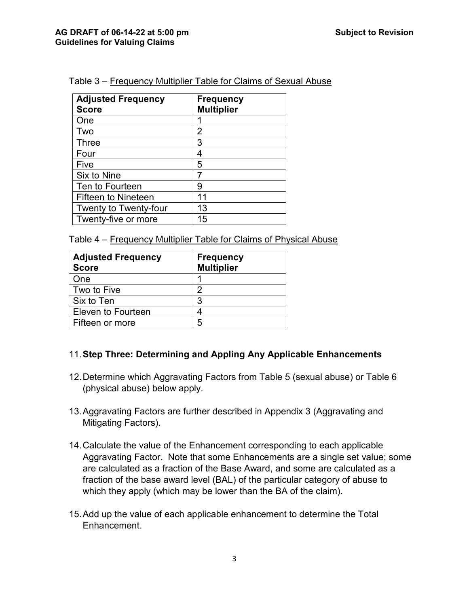| <b>Adjusted Frequency</b><br><b>Score</b> | <b>Frequency</b><br><b>Multiplier</b> |
|-------------------------------------------|---------------------------------------|
| One                                       |                                       |
| Two                                       | 2                                     |
| Three                                     | 3                                     |
| Four                                      | 4                                     |
| Five                                      | 5                                     |
| Six to Nine                               |                                       |
| Ten to Fourteen                           | 9                                     |
| <b>Fifteen to Nineteen</b>                | 11                                    |
| Twenty to Twenty-four                     | 13                                    |
| Twenty-five or more                       | 15                                    |

Table 3 – Frequency Multiplier Table for Claims of Sexual Abuse

Table 4 – Frequency Multiplier Table for Claims of Physical Abuse

| <b>Adjusted Frequency</b><br><b>Score</b> | <b>Frequency</b><br><b>Multiplier</b> |
|-------------------------------------------|---------------------------------------|
| <b>One</b>                                |                                       |
| Two to Five                               | 2                                     |
| Six to Ten                                | 3                                     |
| Eleven to Fourteen                        |                                       |
| Fifteen or more                           | 5                                     |

#### 11.**Step Three: Determining and Appling Any Applicable Enhancements**

- 12.Determine which Aggravating Factors from Table 5 (sexual abuse) or Table 6 (physical abuse) below apply.
- 13.Aggravating Factors are further described in Appendix 3 (Aggravating and Mitigating Factors).
- 14.Calculate the value of the Enhancement corresponding to each applicable Aggravating Factor. Note that some Enhancements are a single set value; some are calculated as a fraction of the Base Award, and some are calculated as a fraction of the base award level (BAL) of the particular category of abuse to which they apply (which may be lower than the BA of the claim).
- 15.Add up the value of each applicable enhancement to determine the Total Enhancement.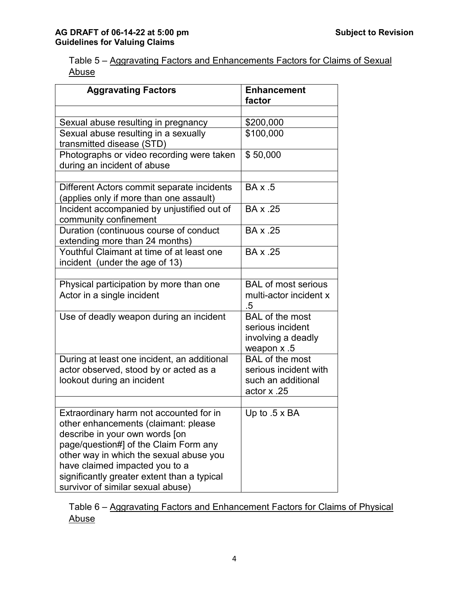| Table 5 – Aggravating Factors and Enhancements Factors for Claims of Sexual |  |  |  |  |
|-----------------------------------------------------------------------------|--|--|--|--|
| Abuse                                                                       |  |  |  |  |

| <b>Aggravating Factors</b>                                                                                                                                                                                                                                                                                                  | <b>Enhancement</b><br>factor                                                         |
|-----------------------------------------------------------------------------------------------------------------------------------------------------------------------------------------------------------------------------------------------------------------------------------------------------------------------------|--------------------------------------------------------------------------------------|
| Sexual abuse resulting in pregnancy<br>Sexual abuse resulting in a sexually                                                                                                                                                                                                                                                 | \$200,000<br>\$100,000                                                               |
| transmitted disease (STD)                                                                                                                                                                                                                                                                                                   |                                                                                      |
| Photographs or video recording were taken<br>during an incident of abuse                                                                                                                                                                                                                                                    | \$50,000                                                                             |
| Different Actors commit separate incidents<br>(applies only if more than one assault)                                                                                                                                                                                                                                       | $BA \times .5$                                                                       |
| Incident accompanied by unjustified out of<br>community confinement                                                                                                                                                                                                                                                         | BA x .25                                                                             |
| Duration (continuous course of conduct<br>extending more than 24 months)                                                                                                                                                                                                                                                    | BA x .25                                                                             |
| Youthful Claimant at time of at least one<br>incident (under the age of 13)                                                                                                                                                                                                                                                 | BA x .25                                                                             |
| Physical participation by more than one<br>Actor in a single incident                                                                                                                                                                                                                                                       | <b>BAL of most serious</b><br>multi-actor incident x<br>.5                           |
| Use of deadly weapon during an incident                                                                                                                                                                                                                                                                                     | <b>BAL</b> of the most<br>serious incident<br>involving a deadly<br>weapon x .5      |
| During at least one incident, an additional<br>actor observed, stood by or acted as a<br>lookout during an incident                                                                                                                                                                                                         | <b>BAL</b> of the most<br>serious incident with<br>such an additional<br>actor x .25 |
| Extraordinary harm not accounted for in<br>other enhancements (claimant: please<br>describe in your own words [on<br>page/question#] of the Claim Form any<br>other way in which the sexual abuse you<br>have claimed impacted you to a<br>significantly greater extent than a typical<br>survivor of similar sexual abuse) | Up to $.5 \times BA$                                                                 |

Table 6 – Aggravating Factors and Enhancement Factors for Claims of Physical Abuse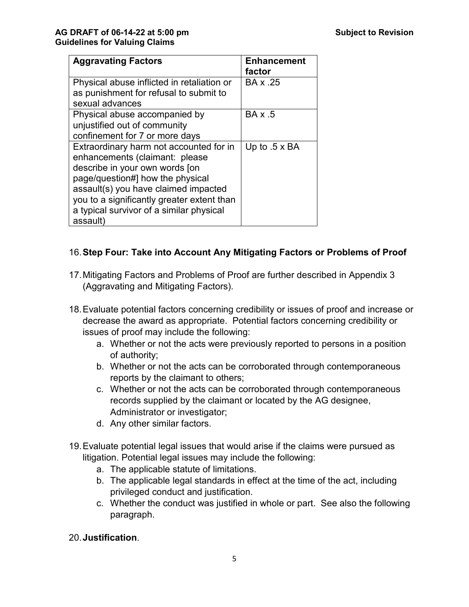| <b>Aggravating Factors</b>                                                                                                                                                                                                                                                                    | <b>Enhancement</b><br>factor |
|-----------------------------------------------------------------------------------------------------------------------------------------------------------------------------------------------------------------------------------------------------------------------------------------------|------------------------------|
| Physical abuse inflicted in retaliation or<br>as punishment for refusal to submit to<br>sexual advances                                                                                                                                                                                       | BA x .25                     |
| Physical abuse accompanied by<br>unjustified out of community<br>confinement for 7 or more days                                                                                                                                                                                               | BA x .5                      |
| Extraordinary harm not accounted for in<br>enhancements (claimant: please<br>describe in your own words [on<br>page/question#] how the physical<br>assault(s) you have claimed impacted<br>you to a significantly greater extent than<br>a typical survivor of a similar physical<br>assault) | Up to $.5 \times BA$         |

## 16.**Step Four: Take into Account Any Mitigating Factors or Problems of Proof**

- 17.Mitigating Factors and Problems of Proof are further described in Appendix 3 (Aggravating and Mitigating Factors).
- 18.Evaluate potential factors concerning credibility or issues of proof and increase or decrease the award as appropriate. Potential factors concerning credibility or issues of proof may include the following:
	- a. Whether or not the acts were previously reported to persons in a position of authority;
	- b. Whether or not the acts can be corroborated through contemporaneous reports by the claimant to others;
	- c. Whether or not the acts can be corroborated through contemporaneous records supplied by the claimant or located by the AG designee, Administrator or investigator;
	- d. Any other similar factors.
- 19.Evaluate potential legal issues that would arise if the claims were pursued as litigation. Potential legal issues may include the following:
	- a. The applicable statute of limitations.
	- b. The applicable legal standards in effect at the time of the act, including privileged conduct and justification.
	- c. Whether the conduct was justified in whole or part. See also the following paragraph.

#### 20.**Justification**.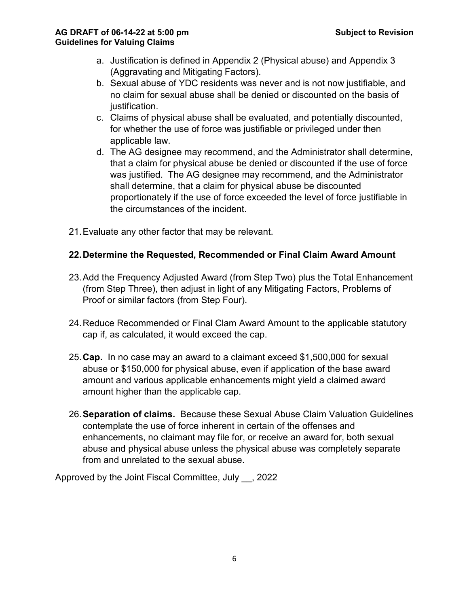#### **AG DRAFT of 06-14-22 at 5:00 pm Subject to Revision Guidelines for Valuing Claims**

- a. Justification is defined in Appendix 2 (Physical abuse) and Appendix 3 (Aggravating and Mitigating Factors).
- b. Sexual abuse of YDC residents was never and is not now justifiable, and no claim for sexual abuse shall be denied or discounted on the basis of justification.
- c. Claims of physical abuse shall be evaluated, and potentially discounted, for whether the use of force was justifiable or privileged under then applicable law.
- d. The AG designee may recommend, and the Administrator shall determine, that a claim for physical abuse be denied or discounted if the use of force was justified. The AG designee may recommend, and the Administrator shall determine, that a claim for physical abuse be discounted proportionately if the use of force exceeded the level of force justifiable in the circumstances of the incident.
- 21.Evaluate any other factor that may be relevant.

#### **22.Determine the Requested, Recommended or Final Claim Award Amount**

- 23.Add the Frequency Adjusted Award (from Step Two) plus the Total Enhancement (from Step Three), then adjust in light of any Mitigating Factors, Problems of Proof or similar factors (from Step Four).
- 24.Reduce Recommended or Final Clam Award Amount to the applicable statutory cap if, as calculated, it would exceed the cap.
- 25.**Cap.** In no case may an award to a claimant exceed \$1,500,000 for sexual abuse or \$150,000 for physical abuse, even if application of the base award amount and various applicable enhancements might yield a claimed award amount higher than the applicable cap.
- 26.**Separation of claims.** Because these Sexual Abuse Claim Valuation Guidelines contemplate the use of force inherent in certain of the offenses and enhancements, no claimant may file for, or receive an award for, both sexual abuse and physical abuse unless the physical abuse was completely separate from and unrelated to the sexual abuse.

Approved by the Joint Fiscal Committee, July \_\_, 2022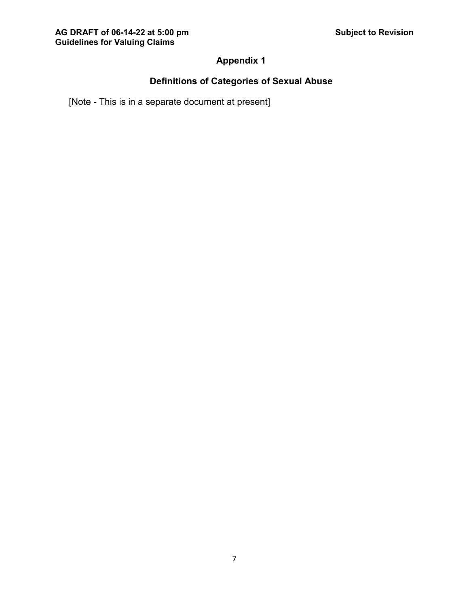## **Appendix 1**

## **Definitions of Categories of Sexual Abuse**

[Note - This is in a separate document at present]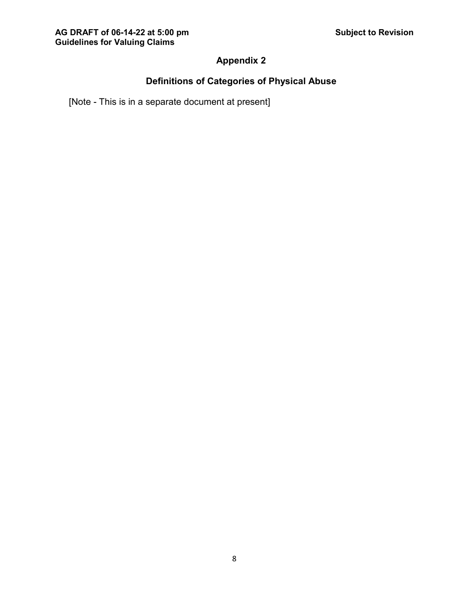# **Appendix 2**

# **Definitions of Categories of Physical Abuse**

[Note - This is in a separate document at present]